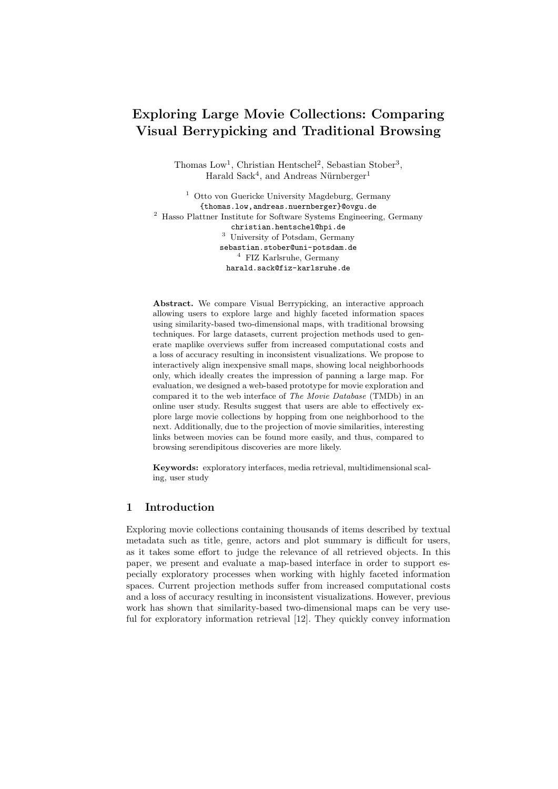# Exploring Large Movie Collections: Comparing Visual Berrypicking and Traditional Browsing

Thomas Low<sup>1</sup>, Christian Hentschel<sup>2</sup>, Sebastian Stober<sup>3</sup>, Harald Sack<sup>4</sup>, and Andreas Nürnberger<sup>1</sup>

<sup>1</sup> Otto von Guericke University Magdeburg, Germany {thomas.low,andreas.nuernberger}@ovgu.de <sup>2</sup> Hasso Plattner Institute for Software Systems Engineering, Germany christian.hentschel@hpi.de <sup>3</sup> University of Potsdam, Germany sebastian.stober@uni-potsdam.de <sup>4</sup> FIZ Karlsruhe, Germany harald.sack@fiz-karlsruhe.de

Abstract. We compare Visual Berrypicking, an interactive approach allowing users to explore large and highly faceted information spaces using similarity-based two-dimensional maps, with traditional browsing techniques. For large datasets, current projection methods used to generate maplike overviews suffer from increased computational costs and a loss of accuracy resulting in inconsistent visualizations. We propose to interactively align inexpensive small maps, showing local neighborhoods only, which ideally creates the impression of panning a large map. For evaluation, we designed a web-based prototype for movie exploration and compared it to the web interface of The Movie Database (TMDb) in an online user study. Results suggest that users are able to effectively explore large movie collections by hopping from one neighborhood to the next. Additionally, due to the projection of movie similarities, interesting links between movies can be found more easily, and thus, compared to browsing serendipitous discoveries are more likely.

Keywords: exploratory interfaces, media retrieval, multidimensional scaling, user study

## 1 Introduction

Exploring movie collections containing thousands of items described by textual metadata such as title, genre, actors and plot summary is difficult for users, as it takes some effort to judge the relevance of all retrieved objects. In this paper, we present and evaluate a map-based interface in order to support especially exploratory processes when working with highly faceted information spaces. Current projection methods suffer from increased computational costs and a loss of accuracy resulting in inconsistent visualizations. However, previous work has shown that similarity-based two-dimensional maps can be very useful for exploratory information retrieval [12]. They quickly convey information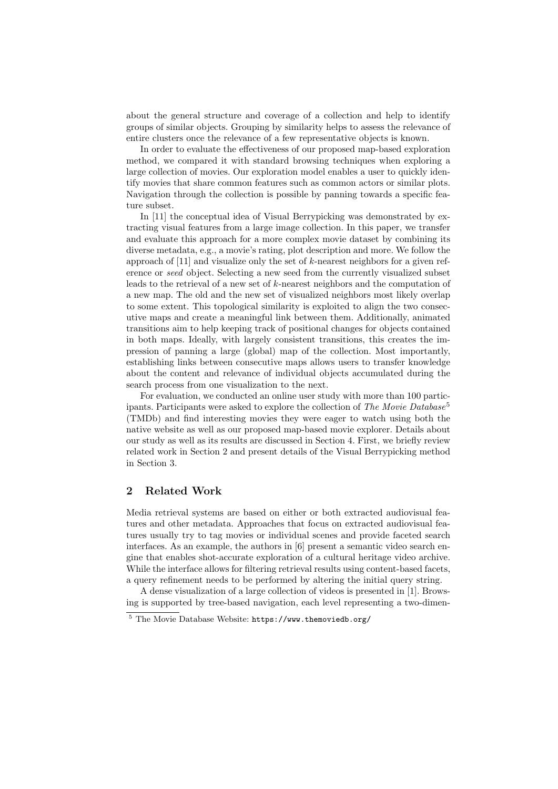about the general structure and coverage of a collection and help to identify groups of similar objects. Grouping by similarity helps to assess the relevance of entire clusters once the relevance of a few representative objects is known.

In order to evaluate the effectiveness of our proposed map-based exploration method, we compared it with standard browsing techniques when exploring a large collection of movies. Our exploration model enables a user to quickly identify movies that share common features such as common actors or similar plots. Navigation through the collection is possible by panning towards a specific feature subset.

In [11] the conceptual idea of Visual Berrypicking was demonstrated by extracting visual features from a large image collection. In this paper, we transfer and evaluate this approach for a more complex movie dataset by combining its diverse metadata, e.g., a movie's rating, plot description and more. We follow the approach of  $[11]$  and visualize only the set of k-nearest neighbors for a given reference or seed object. Selecting a new seed from the currently visualized subset leads to the retrieval of a new set of k-nearest neighbors and the computation of a new map. The old and the new set of visualized neighbors most likely overlap to some extent. This topological similarity is exploited to align the two consecutive maps and create a meaningful link between them. Additionally, animated transitions aim to help keeping track of positional changes for objects contained in both maps. Ideally, with largely consistent transitions, this creates the impression of panning a large (global) map of the collection. Most importantly, establishing links between consecutive maps allows users to transfer knowledge about the content and relevance of individual objects accumulated during the search process from one visualization to the next.

For evaluation, we conducted an online user study with more than 100 participants. Participants were asked to explore the collection of The Movie Database<sup>5</sup> (TMDb) and find interesting movies they were eager to watch using both the native website as well as our proposed map-based movie explorer. Details about our study as well as its results are discussed in Section 4. First, we briefly review related work in Section 2 and present details of the Visual Berrypicking method in Section 3.

## 2 Related Work

Media retrieval systems are based on either or both extracted audiovisual features and other metadata. Approaches that focus on extracted audiovisual features usually try to tag movies or individual scenes and provide faceted search interfaces. As an example, the authors in [6] present a semantic video search engine that enables shot-accurate exploration of a cultural heritage video archive. While the interface allows for filtering retrieval results using content-based facets, a query refinement needs to be performed by altering the initial query string.

A dense visualization of a large collection of videos is presented in [1]. Browsing is supported by tree-based navigation, each level representing a two-dimen-

<sup>5</sup> The Movie Database Website: https://www.themoviedb.org/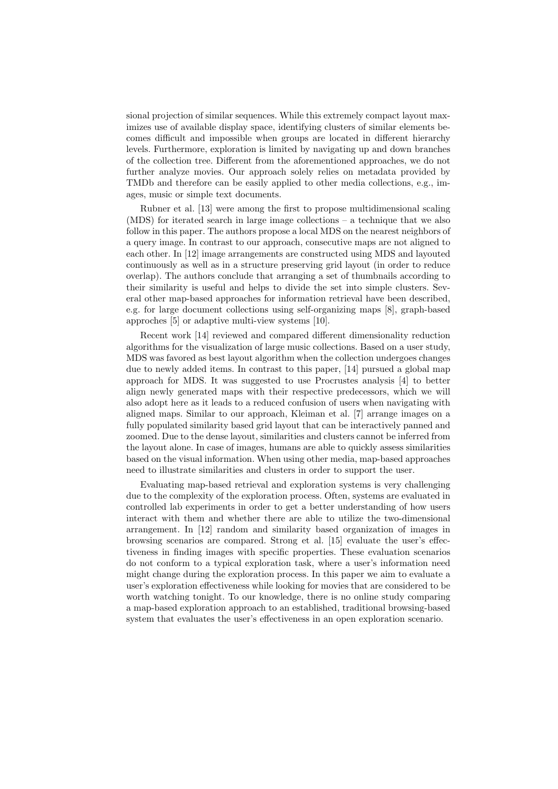sional projection of similar sequences. While this extremely compact layout maximizes use of available display space, identifying clusters of similar elements becomes difficult and impossible when groups are located in different hierarchy levels. Furthermore, exploration is limited by navigating up and down branches of the collection tree. Different from the aforementioned approaches, we do not further analyze movies. Our approach solely relies on metadata provided by TMDb and therefore can be easily applied to other media collections, e.g., images, music or simple text documents.

Rubner et al. [13] were among the first to propose multidimensional scaling (MDS) for iterated search in large image collections – a technique that we also follow in this paper. The authors propose a local MDS on the nearest neighbors of a query image. In contrast to our approach, consecutive maps are not aligned to each other. In [12] image arrangements are constructed using MDS and layouted continuously as well as in a structure preserving grid layout (in order to reduce overlap). The authors conclude that arranging a set of thumbnails according to their similarity is useful and helps to divide the set into simple clusters. Several other map-based approaches for information retrieval have been described, e.g. for large document collections using self-organizing maps [8], graph-based approches [5] or adaptive multi-view systems [10].

Recent work [14] reviewed and compared different dimensionality reduction algorithms for the visualization of large music collections. Based on a user study, MDS was favored as best layout algorithm when the collection undergoes changes due to newly added items. In contrast to this paper, [14] pursued a global map approach for MDS. It was suggested to use Procrustes analysis [4] to better align newly generated maps with their respective predecessors, which we will also adopt here as it leads to a reduced confusion of users when navigating with aligned maps. Similar to our approach, Kleiman et al. [7] arrange images on a fully populated similarity based grid layout that can be interactively panned and zoomed. Due to the dense layout, similarities and clusters cannot be inferred from the layout alone. In case of images, humans are able to quickly assess similarities based on the visual information. When using other media, map-based approaches need to illustrate similarities and clusters in order to support the user.

Evaluating map-based retrieval and exploration systems is very challenging due to the complexity of the exploration process. Often, systems are evaluated in controlled lab experiments in order to get a better understanding of how users interact with them and whether there are able to utilize the two-dimensional arrangement. In [12] random and similarity based organization of images in browsing scenarios are compared. Strong et al. [15] evaluate the user's effectiveness in finding images with specific properties. These evaluation scenarios do not conform to a typical exploration task, where a user's information need might change during the exploration process. In this paper we aim to evaluate a user's exploration effectiveness while looking for movies that are considered to be worth watching tonight. To our knowledge, there is no online study comparing a map-based exploration approach to an established, traditional browsing-based system that evaluates the user's effectiveness in an open exploration scenario.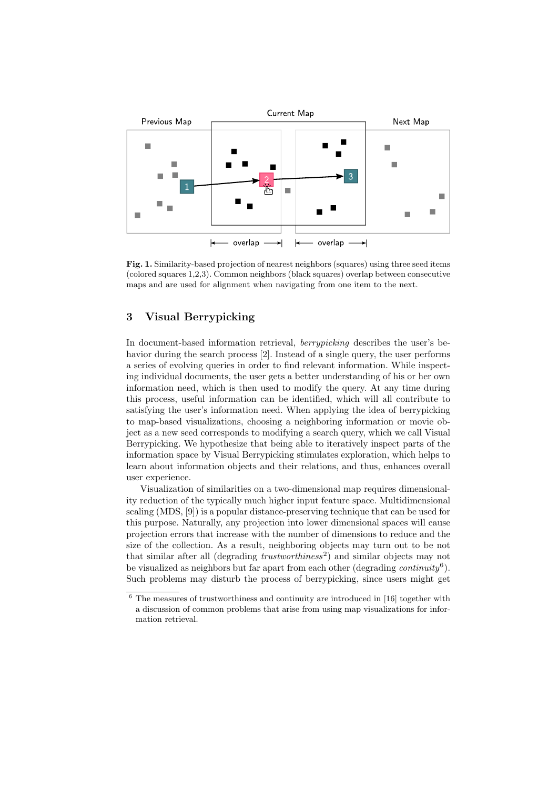

Fig. 1. Similarity-based projection of nearest neighbors (squares) using three seed items (colored squares 1,2,3). Common neighbors (black squares) overlap between consecutive maps and are used for alignment when navigating from one item to the next.

# 3 Visual Berrypicking

In document-based information retrieval, berrypicking describes the user's behavior during the search process [2]. Instead of a single query, the user performs a series of evolving queries in order to find relevant information. While inspecting individual documents, the user gets a better understanding of his or her own information need, which is then used to modify the query. At any time during this process, useful information can be identified, which will all contribute to satisfying the user's information need. When applying the idea of berrypicking to map-based visualizations, choosing a neighboring information or movie object as a new seed corresponds to modifying a search query, which we call Visual Berrypicking. We hypothesize that being able to iteratively inspect parts of the information space by Visual Berrypicking stimulates exploration, which helps to learn about information objects and their relations, and thus, enhances overall user experience.

Visualization of similarities on a two-dimensional map requires dimensionality reduction of the typically much higher input feature space. Multidimensional scaling (MDS, [9]) is a popular distance-preserving technique that can be used for this purpose. Naturally, any projection into lower dimensional spaces will cause projection errors that increase with the number of dimensions to reduce and the size of the collection. As a result, neighboring objects may turn out to be not that similar after all (degrading  $trustworthiness<sup>2</sup>$ ) and similar objects may not be visualized as neighbors but far apart from each other (degrading *continuity*<sup>6</sup>). Such problems may disturb the process of berrypicking, since users might get

 $\frac{6}{6}$  The measures of trustworthiness and continuity are introduced in [16] together with a discussion of common problems that arise from using map visualizations for information retrieval.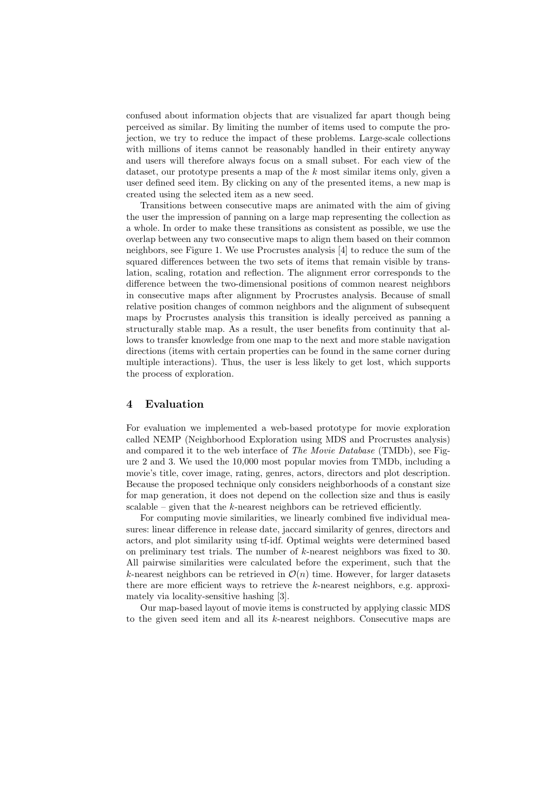confused about information objects that are visualized far apart though being perceived as similar. By limiting the number of items used to compute the projection, we try to reduce the impact of these problems. Large-scale collections with millions of items cannot be reasonably handled in their entirety anyway and users will therefore always focus on a small subset. For each view of the dataset, our prototype presents a map of the  $k$  most similar items only, given a user defined seed item. By clicking on any of the presented items, a new map is created using the selected item as a new seed.

Transitions between consecutive maps are animated with the aim of giving the user the impression of panning on a large map representing the collection as a whole. In order to make these transitions as consistent as possible, we use the overlap between any two consecutive maps to align them based on their common neighbors, see Figure 1. We use Procrustes analysis [4] to reduce the sum of the squared differences between the two sets of items that remain visible by translation, scaling, rotation and reflection. The alignment error corresponds to the difference between the two-dimensional positions of common nearest neighbors in consecutive maps after alignment by Procrustes analysis. Because of small relative position changes of common neighbors and the alignment of subsequent maps by Procrustes analysis this transition is ideally perceived as panning a structurally stable map. As a result, the user benefits from continuity that allows to transfer knowledge from one map to the next and more stable navigation directions (items with certain properties can be found in the same corner during multiple interactions). Thus, the user is less likely to get lost, which supports the process of exploration.

## 4 Evaluation

For evaluation we implemented a web-based prototype for movie exploration called NEMP (Neighborhood Exploration using MDS and Procrustes analysis) and compared it to the web interface of The Movie Database (TMDb), see Figure 2 and 3. We used the 10,000 most popular movies from TMDb, including a movie's title, cover image, rating, genres, actors, directors and plot description. Because the proposed technique only considers neighborhoods of a constant size for map generation, it does not depend on the collection size and thus is easily scalable – given that the  $k$ -nearest neighbors can be retrieved efficiently.

For computing movie similarities, we linearly combined five individual measures: linear difference in release date, jaccard similarity of genres, directors and actors, and plot similarity using tf-idf. Optimal weights were determined based on preliminary test trials. The number of k-nearest neighbors was fixed to 30. All pairwise similarities were calculated before the experiment, such that the k-nearest neighbors can be retrieved in  $\mathcal{O}(n)$  time. However, for larger datasets there are more efficient ways to retrieve the k-nearest neighbors, e.g. approximately via locality-sensitive hashing [3].

Our map-based layout of movie items is constructed by applying classic MDS to the given seed item and all its k-nearest neighbors. Consecutive maps are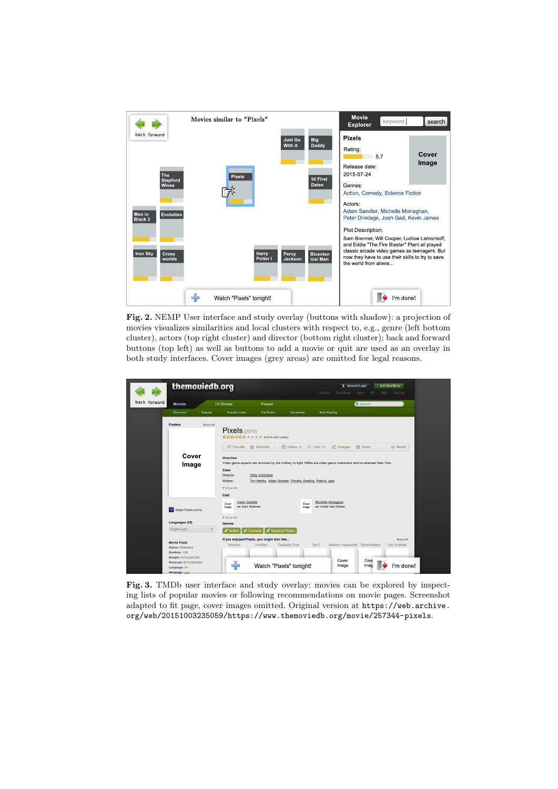

Fig. 2. NEMP User interface and study overlay (buttons with shadow): a projection of movies visualizes similarities and local clusters with respect to, e.g., genre (left bottom cluster), actors (top right cluster) and director (bottom right cluster); back and forward buttons (top left) as well as buttons to add a movie or quit are used as an overlay in both study interfaces. Cover images (grey areas) are omitted for legal reasons.

|              | themoviedb.org                                                                                   |                                                   |                                                                      |                                                       | 1 Account Login<br>Add New Movie<br>Forums<br>API<br>Help<br>Sign Up<br>Contribute<br>Apps |                                           |                                                                                                                     |                         |  |
|--------------|--------------------------------------------------------------------------------------------------|---------------------------------------------------|----------------------------------------------------------------------|-------------------------------------------------------|--------------------------------------------------------------------------------------------|-------------------------------------------|---------------------------------------------------------------------------------------------------------------------|-------------------------|--|
| back forward | <b>Movies</b>                                                                                    |                                                   | <b>TV Shows</b>                                                      | People                                                |                                                                                            |                                           | Q Search                                                                                                            |                         |  |
|              | <b>Discover</b>                                                                                  | Popular                                           | <b>Popular Lists</b>                                                 | <b>Top Rated</b>                                      | <b>Upcoming</b>                                                                            | <b>Now Playing</b>                        |                                                                                                                     |                         |  |
|              | <b>Posters</b>                                                                                   | <b>Show All</b>                                   |                                                                      |                                                       |                                                                                            |                                           |                                                                                                                     |                         |  |
|              | Cover<br>Image                                                                                   |                                                   | $Pixels$ (2015)<br><b>☆☆☆☆☆</b> * * * * 6.2/10 (431 votes)           |                                                       |                                                                                            |                                           |                                                                                                                     |                         |  |
|              |                                                                                                  |                                                   | <b>E</b> Favorite                                                    | <b>Watchlist</b>                                      | $\odot$ Videos (3)                                                                         | $\equiv$ Lists (27)                       | Changes<br>Share                                                                                                    | <b>Report</b>           |  |
|              |                                                                                                  |                                                   | Overview                                                             |                                                       |                                                                                            |                                           | Video game experts are recruited by the military to fight 1980s-era video game characters who've attacked New York. |                         |  |
|              |                                                                                                  | <b>Crew</b><br><b>Chris Columbus</b><br>Director: |                                                                      |                                                       |                                                                                            |                                           |                                                                                                                     |                         |  |
|              | £<br><b>Watch Pixels online</b><br>Languages (25)<br>English (en)<br>$\boldsymbol{\mathrm{v}}$   |                                                   | Writers:<br>Tim Herlihy, Adam Sandler, Timothy Dowling, Patrick Jean |                                                       |                                                                                            |                                           |                                                                                                                     |                         |  |
|              |                                                                                                  |                                                   | <b>M Show All</b><br>Cast                                            |                                                       |                                                                                            |                                           |                                                                                                                     |                         |  |
|              |                                                                                                  |                                                   | <b>Adam Sandler</b><br>Cover<br>as Sam Brenner<br>Image              |                                                       | Cover<br>Image                                                                             | Michelle Monaghan<br>as Violet Van Patten |                                                                                                                     |                         |  |
|              |                                                                                                  |                                                   | <b>M Show All</b>                                                    |                                                       |                                                                                            |                                           |                                                                                                                     |                         |  |
|              |                                                                                                  |                                                   | <b>Genres</b><br>Science Fiction<br>$\sqrt{2}$ Comedy                |                                                       |                                                                                            |                                           |                                                                                                                     |                         |  |
|              |                                                                                                  |                                                   | <b>Action</b>                                                        |                                                       |                                                                                            |                                           |                                                                                                                     |                         |  |
|              | <b>Movie Facts</b><br><b>Status: Released</b>                                                    |                                                   | Vacation                                                             | If you enjoyed Pixels, you might also like<br>Ant-Man | <b>Fantastic Four</b>                                                                      | Ted 2                                     | Mission: Impossible Tomorrowland                                                                                    | Show All<br>San Andreas |  |
|              | Runtime: 105<br>Budget: \$110,000,000<br>Revenue: \$173,882,000<br>Language: en<br>Webpage: Link |                                                   |                                                                      |                                                       | Watch "Pixels" tonight!                                                                    | Covei                                     | Cover<br>Cove<br>Image<br>mag                                                                                       | Cover<br>I'm done!      |  |

Fig. 3. TMDb user interface and study overlay: movies can be explored by inspecting lists of popular movies or following recommendations on movie pages. Screenshot adapted to fit page, cover images omitted. Original version at https://web.archive. org/web/20151003235059/https://www.themoviedb.org/movie/257344-pixels.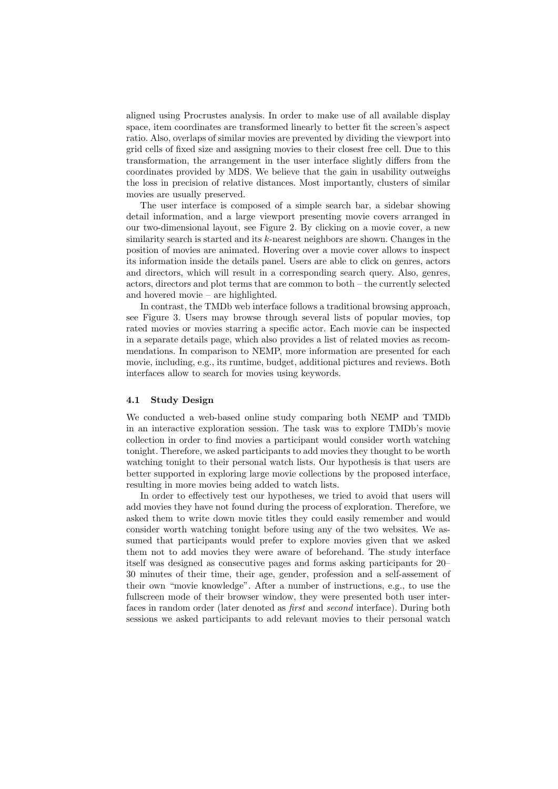aligned using Procrustes analysis. In order to make use of all available display space, item coordinates are transformed linearly to better fit the screen's aspect ratio. Also, overlaps of similar movies are prevented by dividing the viewport into grid cells of fixed size and assigning movies to their closest free cell. Due to this transformation, the arrangement in the user interface slightly differs from the coordinates provided by MDS. We believe that the gain in usability outweighs the loss in precision of relative distances. Most importantly, clusters of similar movies are usually preserved.

The user interface is composed of a simple search bar, a sidebar showing detail information, and a large viewport presenting movie covers arranged in our two-dimensional layout, see Figure 2. By clicking on a movie cover, a new similarity search is started and its  $k$ -nearest neighbors are shown. Changes in the position of movies are animated. Hovering over a movie cover allows to inspect its information inside the details panel. Users are able to click on genres, actors and directors, which will result in a corresponding search query. Also, genres, actors, directors and plot terms that are common to both – the currently selected and hovered movie – are highlighted.

In contrast, the TMDb web interface follows a traditional browsing approach, see Figure 3. Users may browse through several lists of popular movies, top rated movies or movies starring a specific actor. Each movie can be inspected in a separate details page, which also provides a list of related movies as recommendations. In comparison to NEMP, more information are presented for each movie, including, e.g., its runtime, budget, additional pictures and reviews. Both interfaces allow to search for movies using keywords.

#### 4.1 Study Design

We conducted a web-based online study comparing both NEMP and TMDb in an interactive exploration session. The task was to explore TMDb's movie collection in order to find movies a participant would consider worth watching tonight. Therefore, we asked participants to add movies they thought to be worth watching tonight to their personal watch lists. Our hypothesis is that users are better supported in exploring large movie collections by the proposed interface, resulting in more movies being added to watch lists.

In order to effectively test our hypotheses, we tried to avoid that users will add movies they have not found during the process of exploration. Therefore, we asked them to write down movie titles they could easily remember and would consider worth watching tonight before using any of the two websites. We assumed that participants would prefer to explore movies given that we asked them not to add movies they were aware of beforehand. The study interface itself was designed as consecutive pages and forms asking participants for 20– 30 minutes of their time, their age, gender, profession and a self-assement of their own "movie knowledge". After a number of instructions, e.g., to use the fullscreen mode of their browser window, they were presented both user interfaces in random order (later denoted as *first* and *second* interface). During both sessions we asked participants to add relevant movies to their personal watch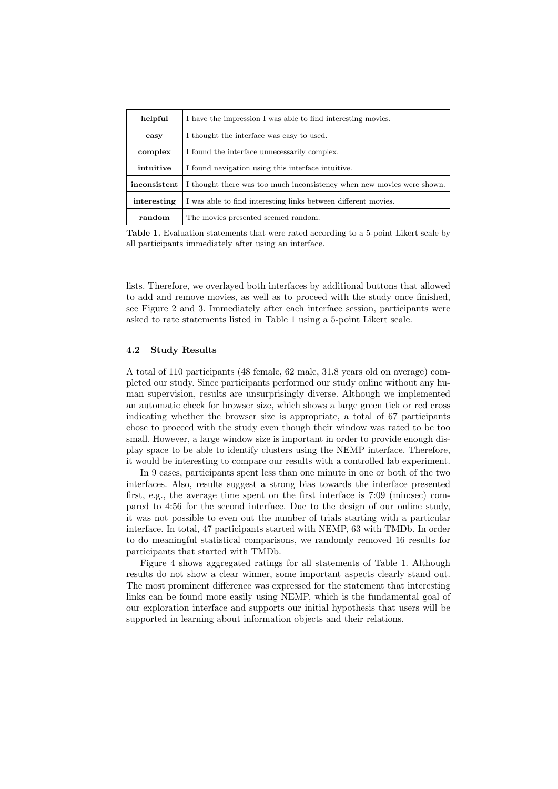| helpful      | I have the impression I was able to find interesting movies.           |  |  |  |  |  |
|--------------|------------------------------------------------------------------------|--|--|--|--|--|
| easy         | I thought the interface was easy to used.                              |  |  |  |  |  |
| complex      | I found the interface unnecessarily complex.                           |  |  |  |  |  |
| intuitive    | I found navigation using this interface intuitive.                     |  |  |  |  |  |
| inconsistent | I thought there was too much inconsistency when new movies were shown. |  |  |  |  |  |
| interesting  | I was able to find interesting links between different movies.         |  |  |  |  |  |
| random       | The movies presented seemed random.                                    |  |  |  |  |  |

Table 1. Evaluation statements that were rated according to a 5-point Likert scale by all participants immediately after using an interface.

lists. Therefore, we overlayed both interfaces by additional buttons that allowed to add and remove movies, as well as to proceed with the study once finished, see Figure 2 and 3. Immediately after each interface session, participants were asked to rate statements listed in Table 1 using a 5-point Likert scale.

#### 4.2 Study Results

A total of 110 participants (48 female, 62 male, 31.8 years old on average) completed our study. Since participants performed our study online without any human supervision, results are unsurprisingly diverse. Although we implemented an automatic check for browser size, which shows a large green tick or red cross indicating whether the browser size is appropriate, a total of 67 participants chose to proceed with the study even though their window was rated to be too small. However, a large window size is important in order to provide enough display space to be able to identify clusters using the NEMP interface. Therefore, it would be interesting to compare our results with a controlled lab experiment.

In 9 cases, participants spent less than one minute in one or both of the two interfaces. Also, results suggest a strong bias towards the interface presented first, e.g., the average time spent on the first interface is 7:09 (min:sec) compared to 4:56 for the second interface. Due to the design of our online study, it was not possible to even out the number of trials starting with a particular interface. In total, 47 participants started with NEMP, 63 with TMDb. In order to do meaningful statistical comparisons, we randomly removed 16 results for participants that started with TMDb.

Figure 4 shows aggregated ratings for all statements of Table 1. Although results do not show a clear winner, some important aspects clearly stand out. The most prominent difference was expressed for the statement that interesting links can be found more easily using NEMP, which is the fundamental goal of our exploration interface and supports our initial hypothesis that users will be supported in learning about information objects and their relations.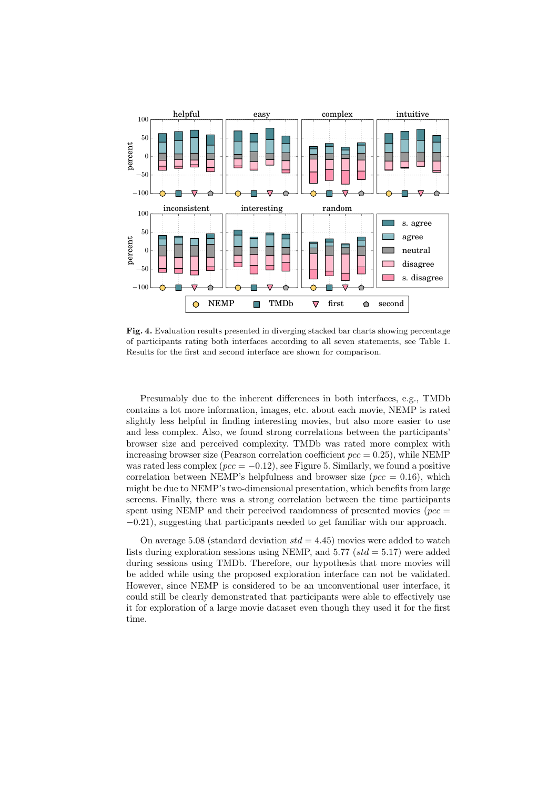

Fig. 4. Evaluation results presented in diverging stacked bar charts showing percentage of participants rating both interfaces according to all seven statements, see Table 1. Results for the first and second interface are shown for comparison.

Presumably due to the inherent differences in both interfaces, e.g., TMDb contains a lot more information, images, etc. about each movie, NEMP is rated slightly less helpful in finding interesting movies, but also more easier to use and less complex. Also, we found strong correlations between the participants' browser size and perceived complexity. TMDb was rated more complex with increasing browser size (Pearson correlation coefficient  $pcc = 0.25$ ), while NEMP was rated less complex ( $pcc = -0.12$ ), see Figure 5. Similarly, we found a positive correlation between NEMP's helpfulness and browser size ( $pcc = 0.16$ ), which might be due to NEMP's two-dimensional presentation, which benefits from large screens. Finally, there was a strong correlation between the time participants spent using NEMP and their perceived randomness of presented movies ( $pcc =$ −0.21), suggesting that participants needed to get familiar with our approach.

On average 5.08 (standard deviation  $std = 4.45$ ) movies were added to watch lists during exploration sessions using NEMP, and 5.77 ( $std = 5.17$ ) were added during sessions using TMDb. Therefore, our hypothesis that more movies will be added while using the proposed exploration interface can not be validated. However, since NEMP is considered to be an unconventional user interface, it could still be clearly demonstrated that participants were able to effectively use it for exploration of a large movie dataset even though they used it for the first time.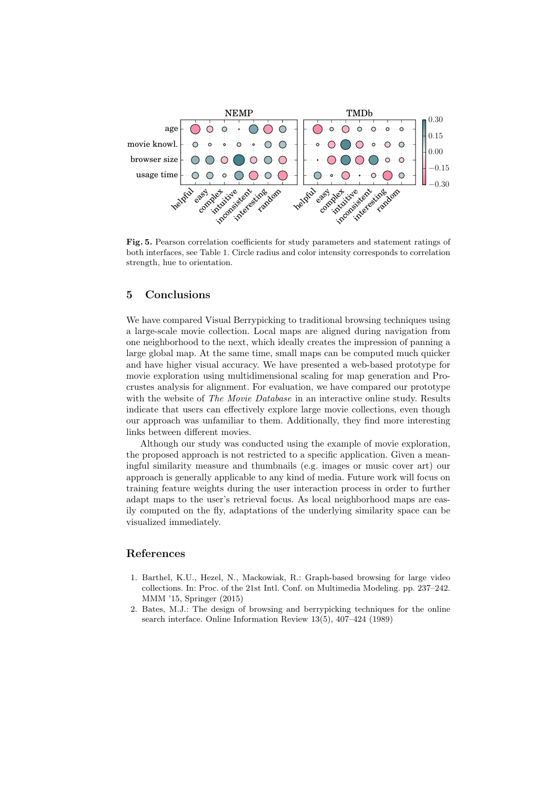

Fig. 5. Pearson correlation coefficients for study parameters and statement ratings of both interfaces, see Table 1. Circle radius and color intensity corresponds to correlation strength, hue to orientation.

# 5 Conclusions

We have compared Visual Berrypicking to traditional browsing techniques using a large-scale movie collection. Local maps are aligned during navigation from one neighborhood to the next, which ideally creates the impression of panning a large global map. At the same time, small maps can be computed much quicker and have higher visual accuracy. We have presented a web-based prototype for movie exploration using multidimensional scaling for map generation and Procrustes analysis for alignment. For evaluation, we have compared our prototype with the website of *The Movie Database* in an interactive online study. Results indicate that users can effectively explore large movie collections, even though our approach was unfamiliar to them. Additionally, they find more interesting links between different movies.

Although our study was conducted using the example of movie exploration, the proposed approach is not restricted to a specific application. Given a meaningful similarity measure and thumbnails (e.g. images or music cover art) our approach is generally applicable to any kind of media. Future work will focus on training feature weights during the user interaction process in order to further adapt maps to the user's retrieval focus. As local neighborhood maps are easily computed on the fly, adaptations of the underlying similarity space can be visualized immediately.

#### References

- 1. Barthel, K.U., Hezel, N., Mackowiak, R.: Graph-based browsing for large video collections. In: Proc. of the 21st Intl. Conf. on Multimedia Modeling. pp. 237–242. MMM '15, Springer (2015)
- 2. Bates, M.J.: The design of browsing and berrypicking techniques for the online search interface. Online Information Review 13(5), 407–424 (1989)